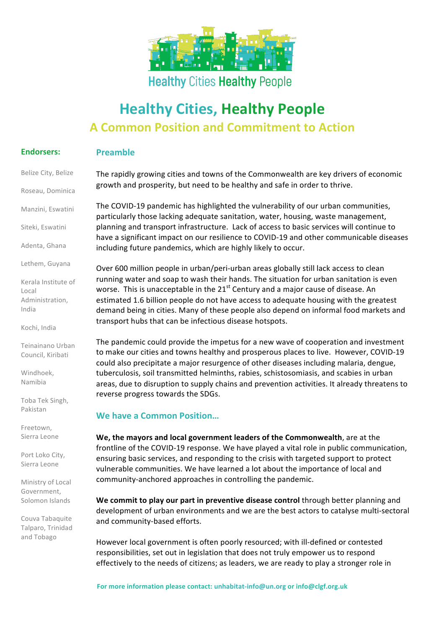

## **Healthy Cities Healthy People**

# **Healthy Cities, Healthy People A Common Position and Commitment to Action**

#### **Endorsers: Preamble**

Belize City, Belize

Roseau, Dominica

Manzini, Eswatini

Siteki, Eswatini

Adenta, Ghana

Lethem, Guyana

Kerala Institute of Local Administration, India

Kochi, India

Teinainano Urban Council, Kiribati

Windhoek, Namibia

Toba Tek Singh, Pakistan

Freetown, Sierra Leone

Port Loko City, Sierra Leone

Ministry of Local Government, Solomon Islands

Couva Tabaquite Talparo, Trinidad and Tobago 

The rapidly growing cities and towns of the Commonwealth are key drivers of economic growth and prosperity, but need to be healthy and safe in order to thrive.

The COVID-19 pandemic has highlighted the vulnerability of our urban communities, particularly those lacking adequate sanitation, water, housing, waste management, planning and transport infrastructure. Lack of access to basic services will continue to have a significant impact on our resilience to COVID-19 and other communicable diseases including future pandemics, which are highly likely to occur.

Over 600 million people in urban/peri-urban areas globally still lack access to clean running water and soap to wash their hands. The situation for urban sanitation is even worse. This is unacceptable in the  $21<sup>st</sup>$  Century and a major cause of disease. An estimated 1.6 billion people do not have access to adequate housing with the greatest demand being in cities. Many of these people also depend on informal food markets and transport hubs that can be infectious disease hotspots.

The pandemic could provide the impetus for a new wave of cooperation and investment to make our cities and towns healthy and prosperous places to live. However, COVID-19 could also precipitate a major resurgence of other diseases including malaria, dengue, tuberculosis, soil transmitted helminths, rabies, schistosomiasis, and scabies in urban areas, due to disruption to supply chains and prevention activities. It already threatens to reverse progress towards the SDGs.

### **We have a Common Position...**

**We, the mayors and local government leaders of the Commonwealth**, are at the frontline of the COVID-19 response. We have played a vital role in public communication, ensuring basic services, and responding to the crisis with targeted support to protect vulnerable communities. We have learned a lot about the importance of local and community-anchored approaches in controlling the pandemic.

We commit to play our part in preventive disease control through better planning and development of urban environments and we are the best actors to catalyse multi-sectoral and community-based efforts.

However local government is often poorly resourced; with ill-defined or contested responsibilities, set out in legislation that does not truly empower us to respond effectively to the needs of citizens; as leaders, we are ready to play a stronger role in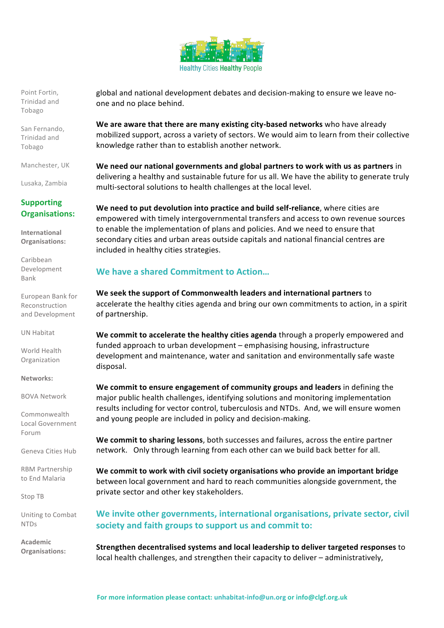

Point Fortin. Trinidad and Tobago 

San Fernando, Trinidad and Tobago 

Manchester, UK

Lusaka, Zambia

#### **Supporting Organisations:**

**International Organisations:** 

Caribbean Development Bank

European Bank for Reconstruction and Development

UN Habitat

World Health Organization

**Networks:**

BOVA Network

Commonwealth Local Government Forum

Geneva Cities Hub

RBM Partnership to End Malaria

Stop TB

Uniting to Combat NTDs

**Academic Organisations:** global and national development debates and decision-making to ensure we leave noone and no place behind.

**We are aware that there are many existing city-based networks** who have already mobilized support, across a variety of sectors. We would aim to learn from their collective knowledge rather than to establish another network.

We need our national governments and global partners to work with us as partners in delivering a healthy and sustainable future for us all. We have the ability to generate truly multi-sectoral solutions to health challenges at the local level.

**We need to put devolution into practice and build self-reliance**, where cities are empowered with timely intergovernmental transfers and access to own revenue sources to enable the implementation of plans and policies. And we need to ensure that secondary cities and urban areas outside capitals and national financial centres are included in healthy cities strategies.

### **We have a shared Commitment to Action...**

We seek the support of Commonwealth leaders and international partners to accelerate the healthy cities agenda and bring our own commitments to action, in a spirit of partnership.

We commit to accelerate the healthy cities agenda through a properly empowered and funded approach to urban development - emphasising housing, infrastructure development and maintenance, water and sanitation and environmentally safe waste disposal.

**We commit to ensure engagement of community groups and leaders in defining the** major public health challenges, identifying solutions and monitoring implementation results including for vector control, tuberculosis and NTDs. And, we will ensure women and young people are included in policy and decision-making.

We commit to sharing lessons, both successes and failures, across the entire partner network. Only through learning from each other can we build back better for all.

We commit to work with civil society organisations who provide an important bridge between local government and hard to reach communities alongside government, the private sector and other key stakeholders.

We invite other governments, international organisations, private sector, civil society and faith groups to support us and commit to:

**Strengthen decentralised systems and local leadership to deliver targeted responses** to local health challenges, and strengthen their capacity to deliver - administratively,